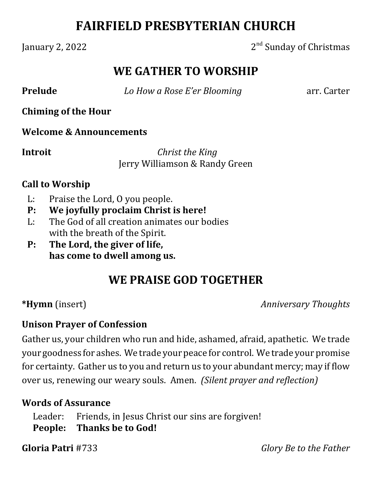## **FAIRFIELD PRESBYTERIAN CHURCH**

#### January 2, 2022 2nd Sunday of Christmas

## **WE GATHER TO WORSHIP**

**Prelude** *b How a Rose E'er Blooming* arr. Carter

**Chiming of the Hour**

**Welcome & Announcements**

**Introit**  *Christ the King* Jerry Williamson & Randy Green

#### **Call to Worship**

- L: Praise the Lord, O you people.
- **P: We joyfully proclaim Christ is here!**
- L: The God of all creation animates our bodies with the breath of the Spirit.
- **P: The Lord, the giver of life, has come to dwell among us.**

## **WE PRAISE GOD TOGETHER**

**\*Hymn** (insert) *Anniversary Thoughts*

#### **Unison Prayer of Confession**

Gather us, your children who run and hide, ashamed, afraid, apathetic. We trade your goodness for ashes. We trade your peace for control. We trade your promise for certainty. Gather us to you and return us to your abundant mercy; may if flow over us, renewing our weary souls. Amen. *(Silent prayer and reflection)*

#### **Words of Assurance**

Leader: Friends, in Jesus Christ our sins are forgiven! **People: Thanks be to God!**

**Gloria Patri** #733 *Glory Be to the Father*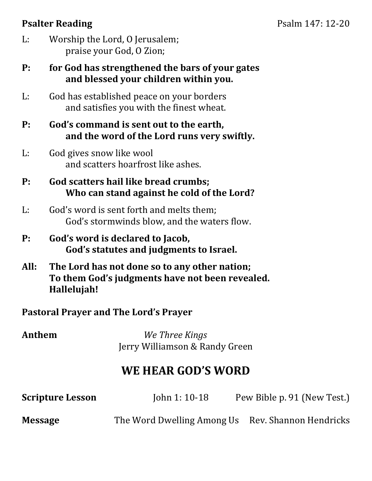### **Psalter Reading** Psalm 147: 12-20

- L: Worship the Lord, O Jerusalem; praise your God, O Zion;
- **P: for God has strengthened the bars of your gates and blessed your children within you.**
- L: God has established peace on your borders and satisfies you with the finest wheat.
- **P: God's command is sent out to the earth, and the word of the Lord runs very swiftly.**
- L: God gives snow like wool and scatters hoarfrost like ashes.
- **P: God scatters hail like bread crumbs; Who can stand against he cold of the Lord?**
- L: God's word is sent forth and melts them; God's stormwinds blow, and the waters flow.
- **P: God's word is declared to Jacob, God's statutes and judgments to Israel.**
- **All: The Lord has not done so to any other nation; To them God's judgments have not been revealed. Hallelujah!**

#### **Pastoral Prayer and The Lord's Prayer**

**Anthem**  *We Three Kings* Jerry Williamson & Randy Green

## **WE HEAR GOD'S WORD**

| <b>Scripture Lesson</b> | John 1: $10-18$                                   | Pew Bible p. 91 (New Test.) |
|-------------------------|---------------------------------------------------|-----------------------------|
| <b>Message</b>          | The Word Dwelling Among Us Rev. Shannon Hendricks |                             |